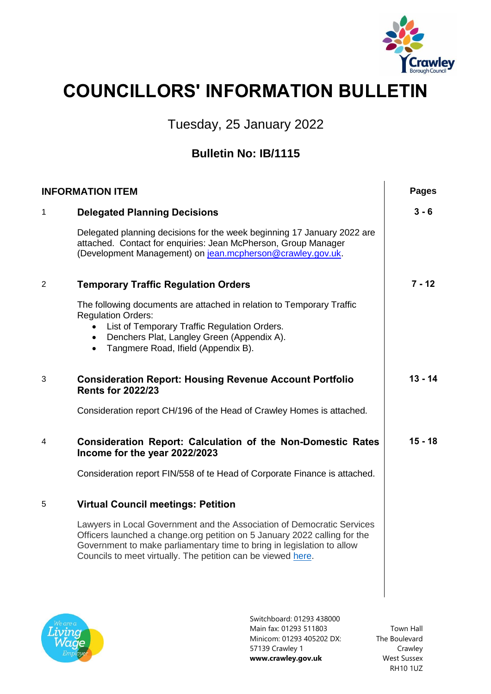

## **COUNCILLORS' INFORMATION BULLETIN**

Tuesday, 25 January 2022

## **Bulletin No: IB/1115**

| <b>INFORMATION ITEM</b> |                                                                                                                                                                                                                                                                                               | <b>Pages</b> |
|-------------------------|-----------------------------------------------------------------------------------------------------------------------------------------------------------------------------------------------------------------------------------------------------------------------------------------------|--------------|
| 1                       | <b>Delegated Planning Decisions</b>                                                                                                                                                                                                                                                           | $3 - 6$      |
|                         | Delegated planning decisions for the week beginning 17 January 2022 are<br>attached. Contact for enquiries: Jean McPherson, Group Manager<br>(Development Management) on jean.mcpherson@crawley.gov.uk.                                                                                       |              |
| 2                       | <b>Temporary Traffic Regulation Orders</b>                                                                                                                                                                                                                                                    | $7 - 12$     |
|                         | The following documents are attached in relation to Temporary Traffic<br><b>Regulation Orders:</b><br>List of Temporary Traffic Regulation Orders.<br>$\bullet$<br>Denchers Plat, Langley Green (Appendix A).<br>$\bullet$<br>Tangmere Road, Ifield (Appendix B).<br>$\bullet$                |              |
| 3                       | <b>Consideration Report: Housing Revenue Account Portfolio</b><br><b>Rents for 2022/23</b>                                                                                                                                                                                                    | $13 - 14$    |
|                         | Consideration report CH/196 of the Head of Crawley Homes is attached.                                                                                                                                                                                                                         |              |
| 4                       | <b>Consideration Report: Calculation of the Non-Domestic Rates</b><br>Income for the year 2022/2023                                                                                                                                                                                           | $15 - 18$    |
|                         | Consideration report FIN/558 of te Head of Corporate Finance is attached.                                                                                                                                                                                                                     |              |
| 5                       | <b>Virtual Council meetings: Petition</b>                                                                                                                                                                                                                                                     |              |
|                         | Lawyers in Local Government and the Association of Democratic Services<br>Officers launched a change.org petition on 5 January 2022 calling for the<br>Government to make parliamentary time to bring in legislation to allow<br>Councils to meet virtually. The petition can be viewed here. |              |
|                         | Switchhoard: 01293 438000                                                                                                                                                                                                                                                                     |              |



Switchboard: 01293 438000 Main fax: 01293 511803 Minicom: 01293 405202 DX: 57139 Crawley 1 **www.crawley.gov.uk**

Town Hall The Boulevard Crawley West Sussex RH10 1UZ